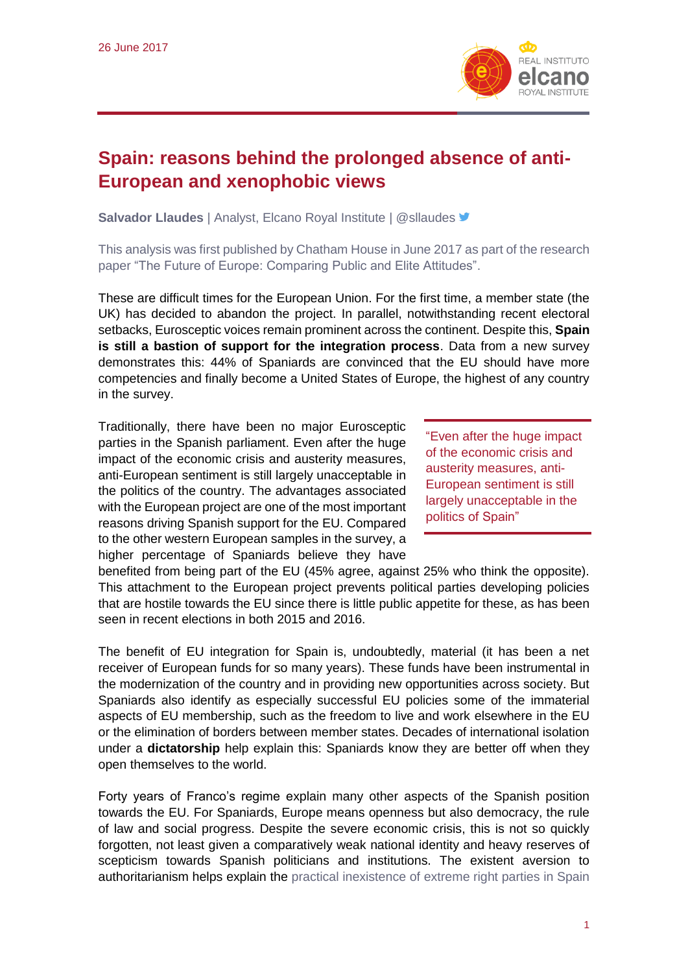

## **Spain: reasons behind the prolonged absence of anti-European and xenophobic views**

**Salvador Llaudes** | Analyst, Elcano Royal Institute | @sllaudes

This analysis was first published b[y Chatham House](https://reader.chathamhouse.org/future-europe-comparing-public-and-elite-attitudes) in June 2017 as part of the research paper ["The Future of Europe: Comparing Public and Elite Attitudes".](https://reader.chathamhouse.org/future-europe-comparing-public-and-elite-attitudes)

These are difficult times for the European Union. For the first time, a member state (the UK) has decided to abandon the project. In parallel, notwithstanding recent electoral setbacks, Eurosceptic voices remain prominent across the continent. Despite this, **Spain is still a bastion of support for the integration process**. Data from a new survey demonstrates this: 44% of Spaniards are convinced that the EU should have more competencies and finally become a United States of Europe, the highest of any country in the survey.

Traditionally, there have been no major Eurosceptic parties in the Spanish parliament. Even after the huge impact of the economic crisis and austerity measures, anti-European sentiment is still largely unacceptable in the politics of the country. The advantages associated with the European project are one of the most important reasons driving Spanish support for the EU. Compared to the other western European samples in the survey, a higher percentage of Spaniards believe they have

"Even after the huge impact of the economic crisis and austerity measures, anti-European sentiment is still largely unacceptable in the politics of Spain"

benefited from being part of the EU (45% agree, against 25% who think the opposite). This attachment to the European project prevents political parties developing policies that are hostile towards the EU since there is little public appetite for these, as has been seen in recent elections in both 2015 and 2016.

The benefit of EU integration for Spain is, undoubtedly, material (it has been a net receiver of European funds for so many years). These funds have been instrumental in the modernization of the country and in providing new opportunities across society. But Spaniards also identify as especially successful EU policies some of the immaterial aspects of EU membership, such as the freedom to live and work elsewhere in the EU or the elimination of borders between member states. Decades of international isolation under a **dictatorship** help explain this: Spaniards know they are better off when they open themselves to the world.

Forty years of Franco's regime explain many other aspects of the Spanish position towards the EU. For Spaniards, Europe means openness but also democracy, the rule of law and social progress. Despite the severe economic crisis, this is not so quickly forgotten, not least given a comparatively weak national identity and heavy reserves of scepticism towards Spanish politicians and institutions. The existent aversion to authoritarianism helps explain the [practical inexistence of extreme right parties in Spain](http://www.realinstitutoelcano.org/wps/portal/rielcano_en/contenido?WCM_GLOBAL_CONTEXT=/elcano/elcano_in/zonas_in/wp3-2017-gonzalezenriquez-spanish-exception-unemployment-inequality-inmigration-no-right-wing-populist-parties)